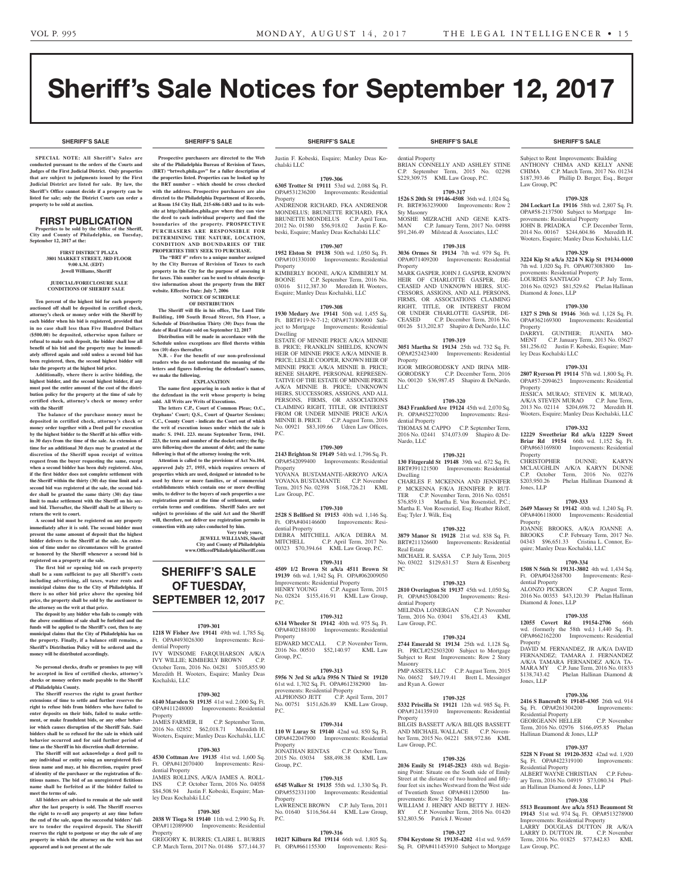**SHERIFF'S SALE SHERIFF'S SALE SHERIFF'S SALE SHERIFF'S SALE SHERIFF'S SALE**

Law Group, PC

Subject to Rent Improvements: Building ANTHONY CHIMA AND KELLY ANNE CHIMA C.P. March Term, 2017 No. 01234 \$187,393.46 Phillip D. Berger, Esq., Berger

provements: Residential Property

LOURDES SANTIAGO

Diamond & Jones, LLP

ley Deas Kochalski LLC

**Property** 

Property

Property

Jones, LLP

**Property** 

dential Property

Property

Jones, LLP

Residential Property

Residential Property

Law Group, P.C.

Hallinan Diamond & Jones, LLP

Diamond & Jones, LLP

**1709-328 204 Lockart Ln 19116** 58th wd. 2,807 Sq. Ft. OPA#58-2137500 Subject to Mortgage Im-

JOHN B. PRIADKA C.P. December Term, 2014 No. 00167 \$244,604.86 Meredith H. Wooters, Esquire; Manley Deas Kochalski, LLC **1709-329 3224 Kip St a/k/a 3224 N Kip St 19134-0000**  7th wd. 1,020 Sq. Ft. OPA#073083800 Improvements: Residential Property<br>
I OURDES SANTIAGO C.P. July Term.

2016 No. 02923 \$81,529.62 Phelan Hallinan

**1709-330 1327 S 29th St 19146** 36th wd. 1,128 Sq. Ft. OPA#362169300 Improvements: Residential

DARRYL GUNTHER; JUANITA MO-MENT C.P. January Term, 2013 No. 03627 \$81,256.02 Justin F. Kobeski, Esquire; Man-

**1709-331 2807 Ryerson Pl 19114** 57th wd. 1,800 Sq. Ft. OPA#57-2094623 Improvements: Residential

JESSICA MURAO; STEVEN K. MURAO, A/K/A STEVEN MURAO C.P. June Term, 2013 No. 02114 \$204,698.72 Meredith H. Wooters, Esquire; Manley Deas Kochalski, LLC **1709-332 12229 Sweetbriar Rd a/k/a 12229 Sweet Briar Rd 19154** 66th wd. 1,152 Sq. Ft. OPA#663169800 Improvements: Residential

CHRISTOPHER DUNNE; KARYN MCLAUGHLIN A/K/A KARYN DUNNE C.P. October Term, 2016 No. 02276

**1709-333 2649 Massey St 19142** 40th wd. 1,240 Sq. Ft. OPA#406118000 Improvements: Residential

JOANNE BROOKS, A/K/A JOANNE A.

04343 \$96,651.33 Cristina L. Connor, Esquire; Manley Deas Kochalski, LLC

**1709-334 1508 N 56th St 19131-3802** 4th wd. 1,434 Sq. Ft. OPA#043268700 Improvements: Resi-

ALONZO PICKRON C.P. August Term, 2016 No. 00353 \$43,120.39 Phelan Hallinan

**1709-335 12055 Covert Rd 19154-2706** 66th wd. (formerly the 58th wd.) 1,440 Sq. Ft. OPA#662162200 Improvements: Residential

DAVID M. FERNANDEZ, JR A/K/A DAVID FERNANDEZ; TAMARA J. FERNANDEZ A/K/A TAMARA FERNANDEZ A/K/A TA-MARA MY C.P. June Term, 2016 No. 01833<br>\$138,743.42 Phelan Hallinan Diamond &

**1709-336 2416 S Bancroft St 19145-4305** 26th wd. 914 Sq. Ft. OPA#261304200 Improvements:

GEORGEANN HELLER C.P. November Term, 2016 No. 02976 \$166,495.85 Phelan

**1709-337 5228 N Front St 19120-3532** 42nd wd. 1,920 Sq. Ft. OPA#422319100 Improvements:

ALBERT WAYNE CHRISTIAN C.P. February Term, 2016 No. 04919 \$73,080.34 Phel-an Hallinan Diamond & Jones, LLP **1709-338 5513 Beaumont Ave a/k/a 5513 Beaumont St 19143** 51st wd. 974 Sq. Ft. OPA#513278900 Improvements: Residential Property LARRY DOUGLAS DUTTON JR A/K/A LARRY D. DUTTON JR. C.P. November Term, 2016 No. 01825 \$77,842.83 KML

\$138,743.42 Phelan Hallinan Diamond &

Phelan Hallinan Diamond &

C.P. February Term, 2017 No.

# Sheriff's Sale Notices for September 12, 2017

**SPECIAL NOTE: All Sheriff 's Sales are conducted pursuant to the orders of the Courts and Judges of the First Judicial District. Only properties that are subject to judgments issued by the First Judicial District are listed for sale. By law, the Sheriff's Office cannot decide if a property can be listed for sale; only the District Courts can order a property to be sold at auction.** 

# FIRST PUBLICATION

**Properties to be sold by the Office of the Sheriff, City and County of Philadelphia, on Tuesday, September 12, 2017 at the:** 

**FIRST DISTRICT PLAZA 3801 MARKET STREET, 3RD FLOOR 9:00 A.M. (EDT) Jewell Williams, Sheriff**

#### **JUDICIAL/FORECLOSURE SALE CONDITIONS OF SHERIFF SALE**

**Ten percent of the highest bid for each property auctioned off shall be deposited in certified check, attorney's check or money order with the Sheriff by each bidder when his bid is registered, provided that in no case shall less than Five Hundred Dollars (\$500.00) be deposited, otherwise upon failure or refusal to make such deposit, the bidder shall lose all benefit of his bid and the property may be immediately offered again and sold unless a second bid has been registered, then, the second highest bidder will take the property at the highest bid price.**

**Additionally, where there is active bidding, the highest bidder, and the second highest bidder, if any must post the entire amount of the cost of the distribution policy for the property at the time of sale by certified check, attorney's check or money order with the Sheriff**

 **The balance of the purchase money must be deposited in certified check, attorney's check or money order together with a Deed poll for execution by the highest bidder to the Sheriff at his office within 30 days from the time of the sale. An extension of time for an additional 30 days may be granted at the discretion of the Sheriff upon receipt of written request from the buyer requesting the same, except when a second bidder has been duly registered. Also, if the first bidder does not complete settlement with the Sheriff within the thirty (30) day time limit and a second bid was registered at the sale, the second bidder shall be granted the same thirty (30) day time limit to make settlement with the Sheriff on his second bid. Thereafter, the Sheriff shall be at liberty to return the writ to court.**

**A second bid must be registered on any property immediately after it is sold. The second bidder must present the same amount of deposit that the highest bidder delivers to the Sheriff at the sale. An extension of time under no circumstances will be granted or honored by the Sheriff whenever a second bid is registered on a property at the sale.** 

**The first bid or opening bid on each property shall be a sum sufficient to pay all Sheriff's costs including advertising, all taxes, water rents and municipal claims due to the City of Philadelphia. If there is no other bid price above the opening bid price, the property shall be sold by the auctioneer to the attorney on the writ at that price.**

**The deposit by any bidder who fails to comply with the above conditions of sale shall be forfeited and the funds will be applied to the Sheriff's cost, then to any municipal claims that the City of Philadelphia has on the property. Finally, if a balance still remains, a Sheriff's Distribution Policy will be ordered and the money will be distributed accordingly.**

**No personal checks, drafts or promises to pay will be accepted in lieu of certified checks, attorney's checks or money orders made payable to the Sheriff of Philadelphia County.**

**The Sheriff reserves the right to grant further extensions of time to settle and further reserves the right to refuse bids from bidders who have failed to enter deposits on their bids, failed to make settlement, or make fraudulent bids, or any other behavior which causes disruption of the Sheriff Sale. Said bidders shall be so refused for the sale in which said behavior occurred and for said further period of time as the Sheriff in his discretion shall determine.**

**The Sheriff will not acknowledge a deed poll to any individual or entity using an unregistered fictitious name and may, at his discretion, require proof of identity of the purchaser or the registration of fictitious names. The bid of an unregistered fictitious name shall be forfeited as if the bidder failed to meet the terms of sale.**

**All bidders are advised to remain at the sale until after the last property is sold. The Sheriff reserves the right to re-sell any property at any time before the end of the sale, upon the successful bidders' failure to tender the required deposit. The Sheriff reserves the right to postpone or stay the sale of any property in which the attorney on the writ has not appeared and is not present at the sale**

#### **SHERIFF'S SALE SHERIFF'S SALE SHERIFF'S SALE SHERIFF'S SALE SHERIFF'S SALE**

**Prospective purchasers are directed to the Web site of the Philadelphia Bureau of Revision of Taxes, (BRT)** "brtweb.phila.gov" for a fuller description **o the properties listed. Properties can be looked up by the BRT number – which should be cross checked with the address. Prospective purchasers are also directed to the Philadelphia Department of Records, at Room 154 City Hall, 215-686-1483 and to its website at http://philadox.phila.gov where they can view the deed to each individual property and find the boundaries of the property. PROSPECTIVE PURCHASERS ARE RESPONSIBLE FOR DETERMINING THE NATURE, LOCATION, CONDITION AND BOUNDARIES OF THE PROPERTIES THEY SEEK TO PURCHASE.**

 **The "BRT #" refers to a unique number assigned by the City Bureau of Revision of Taxes to each property in the City for the purpose of assessing it for taxes. This number can be used to obtain descriptive information about the property from the BRT website. Effective Date: July 7, 2006**

#### **NOTICE OF SCHEDULE OF DISTRIBUTION**

**The Sheriff will file in his office, The Land Title Building, 100 South Broad Street, 5th Floor, a Schedule of Distribution Thirty (30) Days from the date of Real Estate sold on September 12, 2017**

**Distribution will be made in accordance with the Schedule unless exceptions are filed thereto within ten (10) days thereafter. N.B. - For the benefit of our non-professional** 

**readers who do not understand the meaning of the letters and figures following the defendant's names, we make the following.**

**EXPLANATION The name first appearing in each notice is that of the defendant in the writ whose property is being sold. All Writs are Writs of Executions.**

**The letters C.P., Court of Common Pleas; O.C., Orphans' Court; Q.S., Court of Quarter Sessions; C.C., County Court - indicate the Court out of which the writ of execution issues under which the sale is made: S. 1941. 223. means September Term, 1941. 223, the term and number of the docket entry; the figures following show the amount of debt; and the name following is that of the attorney issuing the writ.**

**Attention is called to the provisions of Act No.104, approved July 27, 1955, which requires owners of properties which are used, designed or intended to be used by three or more families, or of commercial establishments which contain one or more dwelling units, to deliver to the buyers of such properties a use registration permit at the time of settlement, under certain terms and conditions. Sheriff Sales are not subject to provisions of the said Act and the Sheriff will, therefore, not deliver use registration permits in connection with any sales conducted by him.**

**Very truly yours, JEWELL WILLIAMS, Sheriff City and County of Philadelphia www.OfficeofPhiladelphiaSheriff.com**

**SHERIFF'S SALE OF TUESDAY, SEPTEMBER 12, 2017**

## **1709-301**

**1218 W Fisher Ave 19141** 49th wd. 1,785 Sq. Ft. OPA#493026300 Improvements: Residential Property IVY WINSOME FARQUHARSON A/K/A

IVY WILLIE; KIMBERLY BROWN C.P. October Term, 2016 No. 04281 \$105,855.90 Meredith H. Wooters, Esquire; Manley Deas Kochalski, LLC

#### **1709-302**

**6140 Marsden St 19135** 41st wd. 2,000 Sq. Ft. OPA#411248000 Improvements: Residential Property JAMES FARMER, II C.P. September Term, 2016 No. 02852 \$62,018.71 Meredith H.

Wooters, Esquire; Manley Deas Kochalski, LLC **1709-303**

**4530 Cottman Ave 19135** 41st wd. 1,600 Sq. Ft. OPA#412070400 Improvements: Residential Property JAMES ROLLINS, A/K/A JAMES A. ROLL-

INS C.P. October Term, 2016 No. 04058 \$84,508.94 Justin F. Kobeski, Esquire; Manley Deas Kochalski LLC

#### **1709-305**

**2038 W Tioga St 19140** 11th wd. 2,990 Sq. Ft. OPA#112089900 Improvements: Residential Property

GREGORY K. BURRIS; CLAIRE L. BURRIS C.P. March Term, 2017 No. 01486 \$77,144.37

Justin F. Kobeski, Esquire; Manley Deas Kochalski LLC

#### **1709-306**

**6305 Trotter St 19111** 53rd wd. 2,088 Sq. Ft. OPA#531236200 Improvements: Residential Property

ANDRENOR RICHARD, FKA ANDRENOR MONDELUS; BRUNETTE RICHARD, FKA BRUNETTE MONDELUS C.P. April Term, 2012 No. 01580 \$56,918.02 Justin F. Kobeski, Esquire; Manley Deas Kochalski LLC

#### **1709-307**

**1952 Elston St 19138** 50th wd. 1,050 Sq. Ft. OPA#101330100 Improvements: Residential **Property** 

KIMBERLY BOONE, A/K/A KIMBERLY M. BOONE C.P. September Term, 2016 No. 03016 \$112,387.30 Meredith H. Wooters, Esquire; Manley Deas Kochalski, LLC

# **1709-308**

**1930 Medary Ave 19141** 50th wd. 1,455 Sq. Ft. BRT#119-N-7-12; OPA#171306900 Subject to Mortgage Improvements: Residential Dwelling

ESTATE OF MINNIE PRICE A/K/A MINNIE B. PRICE; FRANKLIN SHIELDS, KNOWN HEIR OF MINNIE PRICE A/K/A MINNIE B. PRICE; LESLIE COOPER, KNOWN HEIR OF MINNIE PRICE A/K/A MINNIE B. PRICE; RENEE SHARPE, PERSONAL REPRESEN-TATIVE OF THE ESTATE OF MINNIE PRICE A/K/A MINNIE B. PRICE; UNKNOWN HEIRS, SUCCESSORS, ASSIGNS, AND ALL PERSONS, FIRMS, OR ASSOCIATIONS CLAIMING RIGHT, TITLE, OR INTEREST FROM OR UNDER MINNIE PRICE A/K/A MINNIE B. PRICE C.P. August Term, 2016 No. 00921 \$83,109.66 Udren Law Offices, P.C.

#### **1709-309**

**2143 Brighton St 19149** 54th wd. 1,796 Sq. Ft. OPA#542099400 Improvements: Residential Property YOVANA BUSTAMANTE-ARROYO A/K/A YOVANA BUSTAMANTE C.P. November Term, 2015 No. 02398 \$168,726.21 KML Law Group, P.C.

# **1709-310**

**2528 S Bellford St 19153** 40th wd. 1,146 Sq. Ft. OPA#404146600 Improvements: Residential Property DEBRA MITCHELL A/K/A DEBRA M. C.P. April Term, 2017 No. 00323 \$70,394.64 KML Law Group, P.C.

# **1709-311**

**4509 1/2 Brown St a/k/a 4511 Brown St 19139** 6th wd. 1,942 Sq. Ft. OPA#062009050 Improvements: Residential Property HENRY YOUNG C.P. August Term, 2015 No. 02824 \$155,416.91 KML Law Group, P.C.

#### **1709-312**

Group, P.C.

**6314 Wheeler St 19142** 40th wd. 975 Sq. Ft. OPA#402188100 Improvements: Residential Property<br>EDWARD MCCALL C.P. November Term,<br>140.97 KML Law 2016 No. 00510 \$52,140.97

#### **1709-313**

**5956 N 3rd St a/k/a 5956 N Third St 19120**  61st wd. 1,702 Sq. Ft. OPA#612382900 Improvements: Residential Property ALPHONSO JETT C.P. April Term, 2017 No. 00751 \$151,626.89 KML Law Group,  $P<sub>C</sub>$ 

#### **1709-314**

**110 W Luray St 19140** 42nd wd. 850 Sq. Ft. OPA#422047900 Improvements: Residential **Property** JONATHAN RENTAS C.P. October Term, 2015 No. 03034 \$88,498.38 KML Law Group, P.C.

#### **1709-315**

**6545 Walker St 19135** 55th wd. 1,330 Sq. Ft. OPA#552331100 Improvements: Residential **Property** LAWRENCE BROWN C.P. July Term, 2011 No. 01640 \$116,564.44 KML Law Group, P.C.

#### **1709-316**

**10217 Kilburn Rd 19114** 66th wd. 1,805 Sq. Ft. OPA#661155300 Improvements: Resi-

dential Property BRIAN CONNELLY AND ASHLEY STINE C.P. September Term, 2015 No. 02298 \$229,309.75 KML Law Group, P.C.

#### **1709-317**

**1526 S 20th St 19146-4508** 36th wd. 1,024 Sq. Ft. BRT#363239000 Improvements: Row 2 Sty Masonry MOSHE MIZRACHI AND GENE KATS-<br>MAN C.P. January Term. 2017 No. 04988 C.P. January Term, 2017 No. 04988 \$91,246.49 Milstead & Associates, LLC

#### **1709-318**

**3036 Ormes St 19134** 7th wd. 979 Sq. Ft. OPA#071409200 Improvements: Residential Property

MARK GASPER, JOHN J. GASPER, KNOWN HEIR OF CHARLOTTE GASPER, DE-CEASED AND UNKNOWN HEIRS, SUC-CESSORS, ASSIGNS, AND ALL PERSONS, FIRMS, OR ASSOCIATIONS CLAIMING RIGHT, TITLE, OR INTEREST FROM OR UNDER CHARLOTTE GASPER, DE-CEASED C.P. December Term, 2016 No. 00126 \$13,202.87 Shapiro & DeNardo, LLC

# **1709-319**

**3051 Martha St 19134** 25th wd. 732 Sq. Ft. OPA#252423400 Improvements: Residential Property

IGOR MIRGORODSKY AND IRINA MIR-<br>GORODSKY CP December Term 2016 C.P. December Term, 2016 No. 00120 \$36,987.45 Shapiro & DeNardo, LLC

#### **1709-320**

**3843 Frankford Ave 19124** 45th wd. 2,070 Sq. Ft. OPA#452270200 Improvements: Residential Property THOMAS M. CAPPO C.P. September Term

2016 No. 02441 \$74,073.09 Shapiro & De-Nardo, LLC

# **1709-321**

**130 Fitzgerald St 19148** 39th wd. 672 Sq. Ft. BRT#391121500 Improvements: Residential Dwelling CHARLES F. MCKENNA AND JENNIFER P. MCKENNA F/K/A JENNIFER P. RUT-TER C.P. November Term, 2016 No. 02651 \$76,859.13 Martha E. Von Rosenstiel, P.C.: Martha E. Von Rosenstiel, Esq; Heather Riloff, Esq; Tyler J. Wilk, Esq

## **1709-322**

**3879 Manor St 19128** 21st wd. 838 Sq. Ft. BRT#211326600 Improvements: Residential Real Estate MICHAEL R. SASSA C.P. July Term, 2015 No. 03022 \$129,631.57 Stern & Eisenberg

PC

#### **1709-323 2810 Overington St 19137** 45th wd. 1,050 Sq.

Ft. OPA#453084200 Improvements: Residential Property MELINDA LONERGAN C.P. November Term, 2016 No. 03041 \$76,421.43 KML Law Group, P.C.

# **1709-324**

**2744 Emerald St 19134** 25th wd. 1,128 Sq. Ft. PRCL#252503200 Subject to Mortgage Subject to Rent Improvements: Row 2 Story Masonry PMP ASSETS, LLC C.P. August Term, 2015

No. 04652 \$49,719.41 Brett L. Messinger and Ryan A. Gower

## **1709-325**

**5332 Priscilla St 19121** 12th wd. 985 Sq. Ft. OPA#124135910 Improvements: Residential **Property** BILGIS BASSETT A/K/A BILQIS BASSETT AND MICHAEL WALLACE C.P. Novem-

ber Term, 2015 No. 04221 \$88,972.86 KML Law Group, P.C.

# **1709-326**

**2036 Emily St 19145-2823** 48th wd. Beginning Point: Situate on the South side of Emily Street at the distance of two hundred and fiftyfour feet six inches Westward from the West side of Twentieth Street OPA#481120500 Improvements: Row 2 Sty Masonry WILLIAM J. HENRY AND BETTY J. HEN-

RY C.P. November Term, 2016 No. 01420 \$32,803.56 Patrick J. Wesner

#### **1709-327 5704 Keystone St 19135-4202** 41st wd. 9,659

Sq. Ft. OPA#411453910 Subject to Mortgage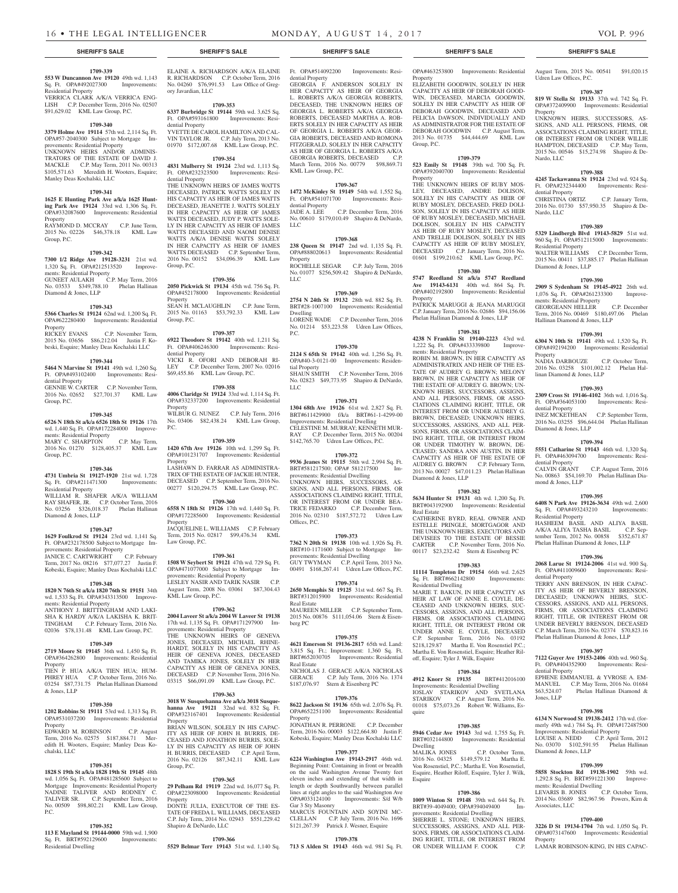#### **1709-339**

**553 W Duncannon Ave 19120** 49th wd. 1,143 Sq. Ft. OPA#492027300 Improvements: Residential Property VERRICA CLARK A/K/A VERRICA ENG-LISH C.P. December Term, 2016 No. 02507 \$91,629.02 KML Law Group, P.C.

#### **1709-340**

**3379 Holme Ave 19114** 57th wd. 2,114 Sq. Ft. OPA#57-2040300 Subject to Mortgage Improvements: Residential Property UNKNOWN HEIRS AND/OR ADMINIS-TRATORS OF THE ESTATE OF DAVID J. MACKLE C.P. May Term, 2011 No. 00313 \$105,571.63 Meredith H. Wooters, Esquire; Manley Deas Kochalski, LLC

#### **1709-341**

**1625 E Hunting Park Ave a/k/a 1625 Hunting Park Ave 19124** 33rd wd. 1,306 Sq. Ft. OPA#332087600 Improvements: Residential **Property** RAYMOND D. MCCRAY C.P. June Term,

2015 No. 02226 \$46,378.18 KML Law Group, P.C.

# **1709-342**

**7300 1/2 Ridge Ave 19128-3231** 21st wd. 1,320 Sq. Ft. OPA#212513520 Improvements: Residential Property GUNEET AULAKH C.P. May Term, 2016 No. 03533 \$349,788.10 Phelan Hallinan Diamond & Jones, LLP

#### **1709-343**

**5366 Charles St 19124** 62nd wd. 1,200 Sq. Ft. OPA#622280400 Improvements: Residential Property<br>RICKEY EVANS C.P. November Term,

2015 No. 03656 \$86,212.04 Justin F. Kobeski, Esquire; Manley Deas Kochalski LLC

# **1709-344**

**5464 N Marvine St 19141** 49th wd. 1,260 Sq. Ft. OPA#493102400 Improvements: Residential Property GENNIE W. CARTER C.P. November Term, 2016 No. 02652 \$27,701.37 KML Law

Group, P.C.

# **1709-345**

**6526 N 18th St a/k/a 6526 18th St 19126** 17th wd. 1,440 Sq. Ft. OPA#172284000 Improvements: Residential Property MARY C. SHARPTON C.P. May Term, 2016 No. 01270 \$128,405.37 KML Law

# Group, P.C.

**1709-346**

#### **4731 Umbria St 19127-1920** 21st wd. 1,728 Sq. Ft. OPA#211471300 Improvements: Residential Property WILLIAM R. SHAFER A/K/A WILLIAM RAY SHAFER, JR. C.P. October Term, 2016

No. 03256 \$326,018.37 Phelan Hallinan Diamond & Jones, LLP

# **1709-347**

**1629 Foulkrod St 19124** 23rd wd. 1,141 Sq. Ft. OPA#232178500 Subject to Mortgage Improvements: Residential Property JANICE C. CARTWRIGHT C.P. February Term, 2017 No. 08216 \$77,077.27 Justin F.

# Kobeski, Esquire; Manley Deas Kochalski LLC **1709-348**

**1820 N 76th St a/k/a 1820 76th St 19151** 34th wd. 1,533 Sq. Ft. OPA#343313500 Improvements: Residential Property

ANTHONY J. BRITTINGHAM AND LAKI-SHA K HARDY A/K/A LAKISHA K. BRIT-TINGHAM C.P. February Term, 2016 No. 02036 \$78,131.48 KML Law Group, P.C.

# **1709-349**

**2719 Moore St 19145** 36th wd. 1,450 Sq. Ft. OPA#364262800 Improvements: Residential Property TIEN P. HUA A/K/A TIEN HUA; HUM-PHREY HUA C.P. October Term, 2016 No.

03254 \$87,731.75 Phelan Hallinan Diamond & Jones, LLP

# **1709-350**

**1202 Robbins St 19111** 53rd wd. 1,313 Sq. Ft. OPA#531037200 Improvements: Residential **Property** EDWARD M. ROBINSON C.P. August Term, 2016 No. 02575 \$187,884.71 Meredith H. Wooters, Esquire; Manley Deas Kochalski, LLC

#### **1709-351**

**1828 S 19th St a/k/a 1828 19th St 19145** 48th wd. 1,056 Sq. Ft. OPA#481285600 Subject to Mortgage Improvements: Residential Property NADINE TALIVER AND RODNEY C. TALIVER SR. C.P. September Term, 2016 No. 00509 \$98,802.21 KML Law Group, P.C.

## **1709-352**

**113 E Mayland St 19144-0000** 59th wd. 1,900 Sq. Ft. BRT#592129600 Improvements: Residential Dwelling

ELAINE A. RICHARDSON A/K/A ELAINE R. RICHARDSON C.P. October Term, 2016 No. 04260 \$76,991.53 Law Office of Gregory Javardian, LLC

#### **1709-353 6337 Burbridge St 19144** 59th wd. 3,625 Sq. Ft. OPA#593161800 Improvements: Resi-

dential Property YVETTE DE CAROL HAMILTON AND CAL-VIN TAYLOR JR. C.P. July Term, 2013 No. 01970 \$172,007.68 KML Law Group, P.C.

#### **1709-354**

**4831 Mulberry St 19124** 23rd wd. 1,113 Sq. Ft. OPA#232323500 Improvements: Residential Property THE UNKNOWN HEIRS OF JAMES WATTS DECEASED, PATRICK WATTS SOLELY IN

HIS CAPACITY AS HEIR OF JAMES WATTS DECEASED, JEANETTE J. WATTS SOLELY IN HER CAPACITY AS HEIR OF JAMES WATTS DECEASED, JUDY P. WATTS SOLE-LY IN HER CAPACITY AS HEIR OF JAMES WATTS DECEASED AND NAOMI DENISE WATTS A/K/A DENISE WATTS SOLELY IN HER CAPACITY AS HEIR OF JAMES WATTS DECEASED C.P. September Term, 2016 No. 00152 \$34,096.39 KML Law Group, P.C.

#### **1709-356**

**2050 Pickwick St 19134** 45th wd. 756 Sq. Ft. OPA#452178000 Improvements: Residential Property SEAN H. MCLAUGHLIN C.P. June Term, 2015 No. 01163 \$53,792.33 KML Law Group, P.C.

#### **1709-357**

**6922 Theodore St 19142** 40th wd. 1,211 Sq. Ft. OPA#406246300 Improvements: Residential Property VICKI R. OFORI AND DEBORAH RI-LEY C.P. December Term, 2007 No. 02016 \$69,455.86 KML Law Group, P.C.

#### **1709-358**

**4006 Claridge St 19124** 33rd wd. 1,114 Sq. Ft. OPA#332337200 Improvements: Residential Property WILBUR G. NUNEZ C.P. July Term, 2016 No. 03406 \$82,438.24 KML Law Group, P.C.

#### **1709-359**

**1420 67th Ave 19126** 10th wd. 1,299 Sq. Ft. OPA#101231707 Improvements: Residential Property LASHAWN D. FARRAR AS ADMINISTRA-TRIX OF THE ESTATE OF JACKIE HUNTER, DECEASED C.P. September Term, 2016 No. 00277 \$120,294.75 KML Law Group, P.C.

#### **1709-360**

**6558 N 18th St 19126** 17th wd. 1,440 Sq. Ft. OPA#172285600 Improvements: Residential Property JACQUELINE L. WILLIAMS C.P. February Term, 2015 No. 02817 \$99,476.34 KML Law Group, P.C.

#### **1709-361**

**1508 W Seybert St 19121** 47th wd. 729 Sq. Ft. OPA#471077000 Subject to Mortgage Improvements: Residential Property LESLEY NASIR AND TARIK NASIR C.P. August Term, 2008 No. 03061 \$87,304.43 KML Law Group, P.C.

# **1709-362**

**2004 Laveer St a/k/a 2004 W Laveer St 19138**  17th wd. 1,135 Sq. Ft. OPA#171297900 Improvements: Residential Property THE UNKNOWN HEIRS OF GENEVA JONES, DECEASED, MICHAEL RHINE-HARDT, SOLELY IN HIS CAPACITY AS HEIR OF GENEVA JONES, DECEASED AND TAMIKA JONES, SOLELY IN HER CAPACITY AS HEIR OF GENEVA JONES, DECEASED C.P. November Term, 2016 No. 03315 \$66,091.09 KML Law Group, P.C.

## **1709-363**

**3018 W Susquehanna Ave a/k/a 3018 Susque-hanna Ave 19121** 32nd wd. 832 Sq. Ft. OPA#323167401 Improvements: Residential Property BRIAN WILSON, SOLELY IN HIS CAPAC-

ITY AS HEIR OF JOHN H. BURRIS, DE-CEASED AND JONATHON BURRIS, SOLE-LY IN HIS CAPACITY AS HEIR OF JOHN H. BURRIS, DECEASED C.P. April Term, 2016 No. 02126 \$87,342.11 KML Law Group, P.C.

#### **1709-365**

**29 Pelham Rd 19119** 22nd wd. 16,077 Sq. Ft. OPA#223098000 Improvements: Residential Property DONTE JULIA, EXECUTOR OF THE ES-TATE OF FREDA L. WILLIAMS, DECEASED C.P. July Term, 2014 No. 02943 \$551,229.42 Shapiro & DeNardo, LLC

#### **1709-366**

**5529 Belmar Terr 19143** 51st wd. 1,140 Sq. **713 S Alden St 19143** 46th wd. 981 Sq. Ft.

Ft. OPA#514092200 Improvements: Residential Property

GEORGIA F. ANDERSON SOLELY IN HER CAPACITY AS HEIR OF GEORGIA L. ROBERTS A/K/A GEORGIA ROBERTS, DECEASED, THE UNKNOWN HEIRS OF GEORGIA L. ROBERTS A/K/A GEORGIA ROBERTS, DECEASED MARTHA A. ROB-ERTS SOLELY IN HER CAPACITY AS HEIR OF GEORGIA L. ROBERTS A/K/A GEOR-GIA ROBERTS, DECEASED AND ROMONA FITZGERALD, SOLELY IN HER CAPACITY AS HEIR OF GEORGIA L. ROBERTS A/K/A GEORGIA ROBERTS, DECEASED C.P. March Term, 2016 No. 00779 \$98,869.71 KML Law Group, P.C.

# **1709-367**

**1472 McKinley St 19149** 54th wd. 1,552 Sq. Ft. OPA#541071700 Improvements: Residential Property JADE A. LEE C.P. December Term, 2016 No. 00610 \$179,010.49 Shapiro & DeNardo,  $ILC$ 

#### **1709-368**

**238 Queen St 19147** 2nd wd. 1,135 Sq. Ft. OPA#888020613 Improvements: Residential **Property** ROCHELLE SEGAR C.P. July Term, 2016

No. 01077 \$256,509.42 Shapiro & DeNardo, LLC

# **1709-369**

**2754 N 24th St 19132** 28th wd. 882 Sq. Ft. BRT#28-1007100 Improvements: Residential Dwelling LORENE WADE C.P. December Term, 2016 No. 01214 \$53,223.58 Udren Law Offices,

# **1709-370**

**2124 S 65th St 19142** 40th wd. 1,256 Sq. Ft. OPA#40-3-0121-00 Improvements: Residential Property SHAUN SMITH C.P. November Term, 2016

No. 02823 \$49,773.95 Shapiro & DeNardo, LLC

**1709-371**

P.C.

**1304 68th Ave 19126** 61st wd. 2,827 Sq. Ft. BRT#611429900 f/k/a BRT#61-1-4299-00 Improvements: Residential Dwelling CELESTINE M. MURRAY; KENNETH MUR-RAY C.P. December Term, 2015 No. 00204 \$142,765.70 Udren Law Offices, P.C.

#### **1709-372**

**9936 Jeanes St 19115** 58th wd. 2,994 Sq. Ft.<br>BRT#581217500; OPA# 581217500 Im-BRT#581217500; OPA# 581217500 provements: Residential Dwelling UNKNOWN HEIRS, SUCCESSORS, AS-SIGNS, AND ALL PERSONS, FIRMS, OR ASSOCIATIONS CLAIMING RIGHT, TITLE, OR INTEREST FROM OR UNDER BEA-TRICE FEDARKO C.P. December Term, 2016 No. 02310 \$187,572.72 Udren Law Offices, P.C.

#### **1709-373**

**7362 N 20th St 19138** 10th wd. 1,926 Sq. Ft. BRT#10-1171600 Subject to Mortgage Improvements: Residential Dwelling GUY TWYMAN C.P. April Term, 2013 No. 00491 \$168,267.41 Udren Law Offices, P.C.

## **1709-374**

**2650 Memphis St 19125** 31st wd. 667 Sq. Ft. BRT#312015900 Improvements: Residential Real Estate

MAUREEN MILLER C.P. September Term, 2015 No. 00876 \$111,054.06 Stern & Eisenberg PC

#### **1709-375**

**4621 Emerson St 19136-2817** 65th wd. Land: 3,815 Sq. Ft.; Improvement: 1,360 Sq. Ft. BRT#652030705 Improvements: Residential Real Estate NICHOLAS J. GERACE A/K/A NICHOLAS

GERACE C.P. July Term, 2016 No. 1374 \$187,076.97 Stern & Eisenberg PC

## **1709-376**

**8622 Jackson St 19136** 65th wd. 2,076 Sq. Ft. OPA#652251100 Improvements: Residential Property

JONATHAN R. PERRONE C.P. December Term, 2016 No. 00003 \$122,664.80 Justin F. Kobeski, Esquire; Manley Deas Kochalski LLC

## **1709-377**

**6224 Washington Ave 19143-2917** 46th wd. Beginning Point: Containing in front or breadth on the said Washington Avenue Twenty feet eleven inches and extending of that width in length or depth Southwardly between parallel lines at right angles to the said Washington Ave<br>
OPA#033124100 Improvements: S/d W/b Improvements: S/d W/b Gar 3 Sty Masonry

MARCUS FOUNTAIN AND SOYINI MC-<br>CLELLAN C.P. July Term, 2016 No. 1696 C.P. July Term, 2016 No. 1696 \$121,267.39 Patrick J. Wesner, Esquire

# **1709-378**

#### **SHERIFF'S SALE SHERIFF'S SALE SHERIFF'S SALE SHERIFF'S SALE SHERIFF'S SALE**

OPA#463253800 Improvements: Residential Property ELIZABETH GOODWIN, SOLELY IN HER August Term, 2015 No. 00541 \$91,020.15

**1709-387 819 W Stella St 19133** 37th wd. 742 Sq. Ft. OPA#372409900 Improvements: Residential

UNKNOWN HEIRS, SUCCESSORS, AS-SIGNS, AND ALL PERSONS, FIRMS, OR ASSOCIATIONS CLAIMING RIGHT, TITLE, OR INTEREST FROM OR UNDER WILLIE HAMPTON, DECEASED C.P. May Term, 2015 No. 00546 \$15,274.98 Shapiro & De-

**1709-388 4245 Tackawanna St 19124** 23rd wd. 924 Sq. Ft. OPA#232344400 Improvements: Resi-

CHRISTINA ORTIZ C.P. January Term, 2016 No. 01730 \$57,950.35 Shapiro & De-

**1709-389 5329 Lindbergh Blvd 19143-5829** 51st wd. 960 Sq. Ft. OPA#512115000 Improvements:

WALTER WILLIAMS C.P. December Term, 2015 No. 00411 \$37,885.17 Phelan Hallinan

**1709-390 2909 S Sydenham St 19145-4922** 26th wd. 1,076 Sq. Ft. OPA#261233300 Improve-

GEORGEANN HELLER C.P. December Term, 2016 No. 00469 \$180,497.06 Phelan

**1709-391 6304 N 10th St 19141** 49th wd. 1,520 Sq. Ft. OPA#492194200 Improvements: Residential

NADIA DARBOUZE C.P. October Term, 2016 No. 03258 \$101,002.12 Phelan Hal-

**1709-393 2309 Cross St 19146-4102** 36th wd. 1,016 Sq. Ft. OPA#364053100 Improvements: Resi-

INEZ MCKETHEAN C.P. September Term, 2016 No. 03255 \$96,644.04 Phelan Hallinan

**1709-394 5551 Catharine St 19143** 46th wd. 1,320 Sq. Ft. OPA#463094700 Improvements: Resi-

CALVIN GRANT C.P. August Term, 2016 No. 00863 \$54,169.70 Phelan Hallinan Dia-

**1709-395 6408 N Park Ave 19126-3634** 49th wd. 2,600 Sq. Ft. OPA#493243210 Improvements:

HASHEEM BASIL AND ALIYA BASIL A/K/A ALIYA TASHA BASIL C.P. September Term, 2012 No. 00858 \$352,671.87 Phelan Hallinan Diamond & Jones, LLP **1709-396 2068 Larue St 19124-2006** 41st wd. 900 Sq. Ft. OPA#411009600 Improvements: Resi-

TERRY ANN BRENSON, IN HER CAPAC-ITY AS HEIR OF BEVERLY BRENSON, DECEASED; UNKNOWN HEIRS, SUC-CESSORS, ASSIGNS, AND ALL PERSONS, FIRMS, OR ASSOCIATIONS CLAIMING RIGHT, TITLE, OR INTEREST FROM OR UNDER BEVERLY BRENSON, DECEASED C.P. March Term, 2016 No. 02374 \$70,823.16 Phelan Hallinan Diamond & Jones, LLP **1709-397 7122 Guyer Ave 19153-2406** 40th wd. 960 Sq. Ft. OPA#404352900 Improvements: Resi-

EPHENE EMMANUEL & YVROSE A. EM-MANUEL C.P. May Term, 2016 No. 01684 \$63,524.07 Phelan Hallinan Diamond &

**1709-398 6134 N Norwood St 19138-2412** 17th wd. (formerly 49th wd.) 784 Sq. Ft. OPA#172487500 Improvements: Residential Property LOUISE A. NEDD C.P. April Term, 2012 No. 03070 \$102,591.95 Phelan Hallinan

**1709-399 5858 Stockton Rd 19138-1902** 59th wd.<br>1,292.8 Sq. Ft. BRT#591221300 Improve-1,292.8 Sq. Ft. BRT#591221300 ments: Residential Dwelling

LEVARIS B. JONES C.P. October Term, 2014 No. 03689 \$82,967.96 Powers, Kirn &

**1709-400 3226 D St 19134-1704** 7th wd. 1,050 Sq. Ft. OPA#073147600 Improvements: Residential

LAMAR ROBINSON-KING, IN HIS CAPAC-

Udren Law Offices, P.C.

Property

Nardo, LLC

dential Property

Residential Property

Diamond & Jones, LLP

ments: Residential Property

Hallinan Diamond & Jones, LLP

linan Diamond & Jones, LLP

Nardo, LLC

Property

dential Property

dential Property

mond & Jones, LLP

Residential Property

dential Property

dential Property

Diamond & Jones, LLP

Associates, LLC

Property

Jones, LLP

Diamond & Jones, LLP

CAPACITY AS HEIR OF DEBORAH GOOD-WIN, DECEASED, MARCIA GOODWIN, SOLELY IN HER CAPACITY AS HEIR OF DEBORAH GOODWIN, DECEASED AND FELICIA DAWSON, INDIVIDUALLY AND AS ADMINISTRATOR FOR THE ESTATE OF DEBORAH GOODWIN C.P. August Term, 2013 No. 01735 \$44,444.69 KML Law

**1709-379 523 Emily St 19148** 39th wd. 700 Sq. Ft. OPA#392040700 Improvements: Residential

THE UNKNOWN HEIRS OF RUBY MOS-LEY, DECEASED, ANDRE DOLISON, SOLELY IN HIS CAPACITY AS HEIR OF RUBY MOSLEY, DECEASED, FRED DOLI-SON, SOLELY IN HIS CAPACITY AS HEIR OF RUBY MOSLEY, DECEASED, MICHAEL DOLISON, SOLELY IN HIS CAPACITY AS HEIR OF RUBY MOSLEY, DECEASED AND TRELLIE DOLISON, SOLELY IN HIS CAPACITY AS HEIR OF RUBY MOSLEY DECEASED C.P. January Term, 2016 No. 01601 \$199,210.62 KML Law Group, P.C. **1709-380 5747 Reedland St a/k/a 5747 Reedland Ave 19143-6131** 40th wd. 864 Sq. Ft. OPA#402192800 Improvements: Residential

PATRICK MARUGGI & JEANA MARUGGI C.P. January Term, 2016 No. 02686 \$94,156.06 Phelan Hallinan Diamond & Jones, LLP

**1709-381 4238 N Franklin St 19140-2223** 43rd wd. 1,222 Sq. Ft. OPA#433339800 Improve-

ROBIN M. BROWN, IN HER CAPACITY AS ADMINISTRATRIX AND HEIR OF THE ES-TATE OF AUDREY G. BROWN; MELONY BROWN, IN HER CAPACITY AS HEIR OF THE ESTATE OF AUDREY G. BROWN; UN-KNOWN HEIRS, SUCCESSORS, ASSIGNS, AND ALL PERSONS, FIRMS, OR ASSO-CIATIONS CLAIMING RIGHT, TITLE, OR INTEREST FROM OR UNDER AUDREY G. BROWN, DECEASED; UNKNOWN HEIRS, SUCCESSORS, ASSIGNS, AND ALL PER-SONS, FIRMS, OR ASSOCIATIONS CLAIM-ING RIGHT, TITLE, OR INTEREST FROM OR UNDER TIMOTHY W. BROWN, DE-CEASED; SANDRA ANN AUSTIN, IN HER CAPACITY AS HEIR OF THE ESTATE OF AUDREY G. BROWN C.P. February Term, 2013 No. 00027 \$47,011.23 Phelan Hallinan

**1709-382 5634 Hunter St 19131** 4th wd. 1,200 Sq. Ft. BRT#043192900 Improvements: Residential

CATHERINE BYRD, REAL OWNER AND ESTELLE PRINGLE, MORTGAGOR AND THE UNKNOWN HEIRS, EXECUTORS AND DEVISEES TO THE ESTATE OF BESSIE CARTER C.P. November Term, 2016 No. 00117 \$23,232.42 Stern & Eisenberg PC **1709-383 11114 Templeton Dr 19154** 66th wd. 2,625 Sq. Ft. BRT#662142800 Improvements:

MARIE T. BAKUN, IN HER CAPACITY AS HEIR AT LAW OF ANNE E. COYLE, DE-CEASED AND UNKNOWN HEIRS, SUC-CESSORS, ASSIGNS, AND ALL PERSONS, FIRMS, OR ASSOCIATIONS CLAIMING RIGHT, TITLE, OR INTEREST FROM OR UNDER ANNE E. COYLE, DECEASED C.P. September Term, 2016 No. 03192 \$218,129.87 Martha E. Von Rosenstiel P.C.; Martha E. Von Rosenstiel, Esquire; Heather Riloff, Esquire; Tyler J. Wilk, Esquire

**1709-384 4912 Knorr St 19135** BRT#412016100 Improvements: Residential Dwelling IOSLAV STARIKOV AND SVETLANA STARIKOV C.P. August Term, 2016 No. 01018 \$75,073.26 Robert W. Williams, Es-

**1709-385 5946 Cedar Ave 19143** 3rd wd. 1,755 Sq. Ft. BRT#032144800 Improvements: Residential

MALIKA JONES C.P. October Term, 2016 No. 04325 \$149,579.12 Martha E. Von Rosenstiel, P.C.; Martha E. Von Rosenstiel, Esquire, Heather Riloff, Esquire, Tyler J. Wilk,

**1709-386 1009 Winton St 19148** 39th wd. 644 Sq. Ft. BRT#39-4049400; OPA#394049400 Im-

.<br>SHERRIE L. STONE: UNKNOWN HEIRS. SUCCESSORS, ASSIGNS, AND ALL PER-SONS, FIRMS, OR ASSOCIATIONS CLAIM-ING RIGHT, TITLE, OR INTEREST FROM<br>OR UNDER WILLIAM F. COOK C.P. OR UNDER WILLIAM F. COOK

provements: Residential Dwelling

ments: Residential Property

Diamond & Jones, LLP

Residential Dwelling

quire

Esquire

Dwelling<br>MALIKA JONES

Real Estate

Group, P.C.

Property

Property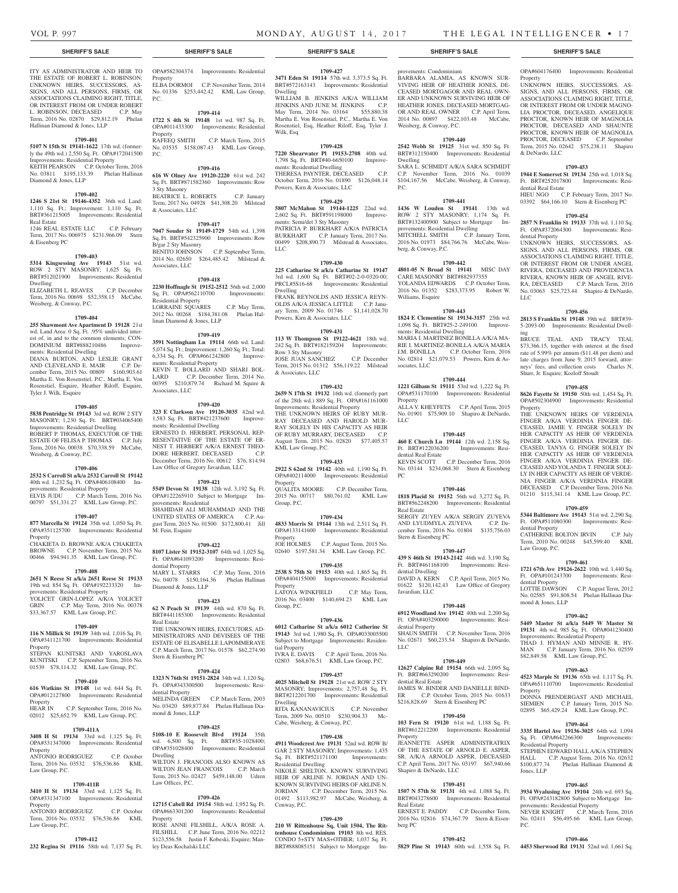Property

& DeNardo, LLC

dential Real Estate

dential Property

LLC

ing

Property

dential Property

Law Group, P.C.

dential Property

Property

Residential Property

Jones, LLP

mond & Jones, LLP

OPA#604176400 Improvements: Residential

UNKNOWN HEIRS, SUCCESSORS, AS-SIGNS, AND ALL PERSONS, FIRMS, OR ASSOCIATIONS CLAIMING RIGHT, TITLE, OR INTEREST FROM OR UNDER MAGNO-LIA PROCTOR, DECEASED, ANGELIQUE PROCTOR, KNOWN HEIR OF MAGNOLIA PROCTOR, DECEASED AND SHAUNTE PROCTOR, KNOWN HEIR OF MAGNOLIA PROCTOR, DECEASED C.P. September Term, 2015 No. 02642 \$75,238.11 Shapiro

**1709-453 1944 E Somerset St 19134** 25th wd. 1,018 Sq. Ft. BRT#252017800 Improvements: Resi-

HIEU NGO C.P. February Term, 2017 No. 03392 \$64,166.10 Stern & Eisenberg PC **1709-454 2857 N Franklin St 19133** 37th wd. 1,110 Sq. Ft. OPA#372064300 Improvements: Resi-

UNKNOWN HEIRS, SUCCESSORS, AS-SIGNS, AND ALL PERSONS, FIRMS, OR ASSOCIATIONS CLAIMING RIGHT, TITLE, OR INTEREST FROM OR UNDER ANGEL RIVERA, DECEASED AND PROVIDENCIA RIVERA, KNOWN HEIR OF ANGEL RIVE-RA, DECEASED C.P. March Term, 2016 No. 03063 \$25,723.44 Shapiro & DeNardo,

**1709-456 2813 S Franklin St 19148** 39th wd. BRT#39- 5-2093-00 Improvements: Residential Dwell-

BRUCE TEAL AND TRACY TEAL \$73,366.15, together with interest at the fixed rate of 5.99% per annum (\$11.48 per diem) and late charges from June 9, 2015 forward, attorneys' fees, and collection costs Charles N.

**1709-458 8626 Fayette St 19150** 50th wd. 1,454 Sq. Ft. OPA#502304900 Improvements: Residential

THE UNKNOWN HEIRS OF VERDENIA FINGER A/K/A VERDINIA FINGER DE-CEASED, JAMIE Y. FINGER SOLELY IN HER CAPACITY AS HEIR OF VERDENIA FINGER A/K/A VERDINIA FINGER DE-CEASED, TANYA G. FINGER SOLELY IN HER CAPACITY AS HEIR OF VERDENIA FINGER A/K/A VERDINIA FINGER DE-CEASED AND YOLANDA T. FINGER SOLE-LY IN HER CAPACITY AS HEIR OF VERDE-NIA FINGER A/K/A VERDINIA FINGER DECEASED C.P. December Term, 2016 No. 01210 \$115,341.14 KML Law Group, P.C. **1709-459 5344 Baltimore Ave 19143** 51st wd. 2,290 Sq. Ft. OPA#511080300 Improvements: Resi-

CATHERINE BOLTON IRVIN C.P. July Term, 2010 No. 00248 \$45,599.40 KML

**1709-461 1721 67th Ave 19126-2622** 10th wd. 1,440 Sq. Ft. OPA#101243700 Improvements: Resi-

LOTTIE DAWSON C.P. August Term, 2012 No. 02585 \$91,808.54 Phelan Hallinan Dia-

**1709-462 5449 Master St a/k/a 5449 W Master St 19131** 4th wd. 985 Sq. Ft. OPA#041230400 Improvements: Residential Property THAD J. HYMAN AND MINNIE R. HY-<br>MAN C.P. January Term, 2016 No. 02559 C.P. January Term, 2016 No. 02559

**1709-463 4523 Marple St 19136** 65th wd. 1,117 Sq. Ft. OPA#651110700 Improvements: Residential

DONNA PRENDERGAST AND MICHAEL SIEMIEN C.P. January Term, 2015 No. 02895 \$65,429.24 KML Law Group, P.C. **1709-464 3335 Hartel Ave 19136-3025** 64th wd. 1,094 Sq. Ft. OPA#642266300 Improvements:

STEPHEN EDWARD HALL A/K/A STEPHEN HALL C.P. August Term, 2016 No. 02632 \$100,877.74 Phelan Hallinan Diamond &

**1709-465 3934 Wyalusing Ave 19104** 24th wd. 693 Sq. Ft. OPA#243182800 Subject to Mortgage Im-

**1709-466**

provements: Residential Property NEVER KNIGHT C.P. March Term, 2016 No. 02411 \$56,495.66 KML Law Group,

\$82,849.58 KML Law Group, P.C.

Shurr, Jr. Esquire; Kozloff Stoudt

ITY AS ADMINISTRATOR AND HEIR TO THE ESTATE OF ROBERT L. ROBINSON: UNKNOWN HEIRS, SUCCESSORS, AS-SIGNS, AND ALL PERSONS, FIRMS, OR ASSOCIATIONS CLAIMING RIGHT, TITLE, OR INTEREST FROM OR UNDER ROBERT L. ROBINSON, DECEASED C.P. May Term, 2016 No. 02870 \$29,812.19 Phelan Hallinan Diamond & Jones, LLP

#### **1709-401**

**5107 N 15th St 19141-1622** 17th wd. (formerly the 49th wd.) 2,550 Sq. Ft. OPA#172041500 Improvements: Residential Property KEITH PEARSON C.P. October Term, 2016 No. 03811 \$195,133.39 Phelan Hallinan Diamond & Jones, LLP

#### **1709-402**

**1246 S 21st St 19146-4352** 36th wd. Land: 1,110 Sq. Ft.; Improvement: 1,110 Sq. Ft. BRT#361215005 Improvements: Residential Real Estate 1246 REAL ESTATE LLC C.P. February

Term, 2017 No. 006975 \$231,966.09 Stern & Eisenberg PC

#### **1709-403**

**5314 Kingsessing Ave 19143** 51st wd. ROW 2 STY MASONRY; 1,625 Sq. Ft. BRT#512021900 Improvements: Residential Dwelling

ELIZABETH L. REAVES C.P. December Term, 2016 No. 00698 \$52,358.15 McCabe, Weisberg, & Conway, P.C.

#### **1709-404**

**255 Shawmont Ave Apartment D 19128** 21st wd. Land Area: 0 Sq. Ft. .95% undivided interest of, in and to the common elements; CON-DOMINIUM BRT#888210486 Improvements: Residential Dwelling DIANA BURTON, AND LESLIE GRANT AND CLEVELAND E. MAIR C.P. December Term, 2015 No. 00809 \$160,903.61 Martha E. Von Rosenstiel, P.C., Martha E. Von Rosenstiel, Esquire, Heather Riloff, Esquire, Tyler J. Wilk, Esquire

#### **1709-405**

**5838 Pentridge St 19143** 3rd wd. ROW 2 STY MASONRY; 1,230 Sq. Ft. BRT#034065400 Improvements: Residential Dwelling ROBERT P. THOMAS, EXECUTOR OF THE ESTATE OF FELISA P. THOMAS C.P. July Term, 2016 No. 00038 \$70,338.59 McCabe, Weisberg, & Conway, P.C.

#### **1709-406**

**2532 S Carroll St a/k/a 2532 Carroll St 19142** 

40th wd. 1,232 Sq. Ft. OPA#406108400 Improvements: Residential Property ELVIS JUDU C.P. March Term, 2016 No. 00797 \$51,331.27 KML Law Group, P.C.

#### **1709-407**

**877 Marcella St 19124** 35th wd. 1,050 Sq. Ft. OPA#351125700 Improvements: Residential **Property** CHAKIETA D. BROWNE A/K/A CHAKIETA

BROWNE C.P. November Term, 2015 No. 00466 \$94,941.35 KML Law Group, P.C.

## **1709-408**

**2651 N Reese St a/k/a 2651 Reese St 19133**  19th wd. 854 Sq. Ft. OPA#192233320 Improvements: Residential Property **YOLICET GRIN-LOPEZ A/K/A YOLICET**<br>GRIN C.P. May Term, 2016 No. 00378 C.P. May Term, 2016 No. 00378 \$33,367.57 KML Law Group, P.C.

#### **1709-409**

**116 N Millick St 19139** 34th wd. 1,016 Sq. Ft. OPA#341121700 Improvements: Residential Property STEPAN KUNITSKI AND YAROSLAVA KUNITSKI C.P. September Term, 2016 No.

# 01539 \$78,114.32 KML Law Group, P.C. **1709-410**

**616 Watkins St 19148** 1st wd. 644 Sq. Ft. OPA#012127800 Improvements: Residential Property HEAR IN C.P. September Term, 2016 No. 02012 \$25,652.79 KML Law Group, P.C.

**1709-411A** OPA#331347000 Improvements: Residential Property ANTONIO RODRIGUEZ C.P. October

# Term, 2016 No. 03532 \$76,536.86 KML Law Group, P.C.

# **1709-411B**

**3410 H St 19134** 33rd wd. 1,125 Sq. Ft. OPA#331347100 Improvements: Residential **Property** 

ANTONIO RODRIGUEZ C.P. October Term, 2016 No. 03532 \$76,536.86 KML Law Group, P.C.

**1709-412 232 Regina St 19116** 58th wd. 7,137 Sq. Ft.

# OPA#582304374 Improvements: Residential Property ELBA DORMOI C.P. November Term, 2014

No. 01336 \$253,442.42 KML Law Group, P.C. **1709-414**

**1722 S 4th St 19148** 1st wd. 987 Sq. Ft. OPA#011433300 Improvements: Residential Property RAFEEQ SMITH C.P. March Term, 2015 No. 03535 \$158,087.43 KML Law Group,

# **1709-416**

P.C.

**616 W Olney Ave 19120-2220** 61st wd. 242 Sq. Ft. BRT#871582360 Improvements: Row 3 Sty Masonry BEATRICE L. ROBERTS C.P. January Term, 2017 No. 04928 \$41,308.20 Milstead & Associates, LLC

**1709-417 7047 Souder St 19149-1729** 54th wd. 1,398 Sq. Ft. BRT#542325900 Improvements: Row B/gar 2 Sty Masonry BENITO JOHNSON C.P. September Term, 2014 No. 02650 \$264,485.42 Milstead & Associates, LLC

# **1709-418**

**2230 Hoffnagle St 19152-2512** 56th wd. 2,000 Sq. Ft. OPA#562110700 Improvements: Residential Property LORRAINE SQUARES C.P. May Term, 2012 No. 00268 \$184,381.08 Phelan Hallinan Diamond & Jones, LLP

#### **1709-419**

**3591 Nottingham Ln 19114** 66th wd. Land: 5,074 Sq. Ft.; Improvement: 1,260 Sq. Ft.; Total: 6,334 Sq. Ft. OPA#661242800 Improvements: Residential Property KEVIN T. BOLLARD AND SHARI BOL-LARD C.P. December Term, 2014 No. 00395 \$210,879.74 Richard M. Squire & Associates, LLC

#### **1709-420**

**323 E Clarkson Ave 19120-3035** 42nd wd. 1,583 Sq. Ft. BRT#421237600 Improvements: Residential Dwelling ERNESTO D. HERBERT, PERSONAL REP-RESENTATIVE OF THE ESTATE OF ER-NEST T. HERBERT A/K/A ERNEST THEO-DORE HERBERT, DECEASED December Term, 2016 No. 00612 \$76, 814.94 Law Office of Gregory Javardian, LLC

#### **1709-421**

**5549 Devon St 19138** 12th wd. 3,192 Sq. Ft. OPA#122265910 Subject to Mortgage Improvements: Residential SHAHIDAH ALI MUHAMMAD AND THE UNITED STATES OF AMERICA C.P. August Term, 2015 No. 01500 \$172,800.41 Jill M. Fein, Esquire

#### **1709-422**

**8107 Lister St 19152-3107** 64th wd. 1,025 Sq. Ft. OPA#641093200 Improvements: Residential Property MARY L. STARRS C.P. May Term, 2016 No. 04078 \$150,164.36 Phelan Hallinan Diamond & Jones, LLP

#### **1709-423**

**62 N Peach St 19139** 44th wd. 870 Sq. Ft. BRT#441185300 Improvements: Residential Real Estate THE UNKNOWN HEIRS, EXECUTORS, AD-MINISTRATORS AND DEVISEES OF THE ESTATE OF ELISABELLE LAPOMMERAYE C.P. March Term, 2017 No. 01578 \$62,274.90 Stern & Eisenberg PC

#### **1709-424**

**1323 N 76th St 19151-2824** 34th wd. 1,120 Sq. Ft. OPA#343300500 Improvements: Residential Property MELINDA GREEN C.P. March Term, 2003 No. 03420 \$89,877.84 Phelan Hallinan Diamond & Jones, LLP

#### **1709-425**

**3408 H St 19134** 33rd wd. 1,125 Sq. Ft. **5108-10 E Roosevelt Blvd 19124** 35th wd. 6,500 Sq. Ft. BRT#35-1028400; OPA#351028400 Improvements: Residential Dwelling WILTON J. FRANCOIS ALSO KNOWN AS

WILTON JEAN FRANCOIS C.P. March Term, 2015 No. 02427 \$459,148.00 Udren Law Offices, P.C.

#### **1709-426**

**12715 Cabell Rd 19154** 58th wd. 1,952 Sq. Ft. OPA#663301200 Improvements: Residential Property

ROSE ANNE FILSHILL, A/K/A ROSE A. FILSHILL C.P. June Term, 2016 No. 02212 \$123,556.58 Justin F. Kobeski, Esquire; Manley Deas Kochalski LLC

#### **SHERIFF'S SALE SHERIFF'S SALE SHERIFF'S SALE SHERIFF'S SALE SHERIFF'S SALE**

**1709-427 3471 Eden St 19114** 57th wd. 3,373.5 Sq. Ft.

BRT#572163143 Improvements: Residential Dwelling WILLIAM B. JENKINS A/K/A WILLIAM JENKINS AND JUNE M. JENKINS C.P. May Term, 2014 No. 03164 \$55,880.38 Martha E. Von Rosenstiel, P.C., Martha E. Von Rosenstiel, Esq, Heather Riloff, Esq, Tyler J. Wilk, Esq

#### **1709-428**

**7220 Shearwater Pl 19153-2708** 40th wd. 1,798 Sq. Ft. BRT#40-6650100 Improvements: Residential Dwelling THERESA PAYNTER, DECEASED C.P. October Term, 2016 No. 01890 \$126,048.14 Powers, Kirn & Associates, LLC

## **1709-429**

**5807 McMahon St 19144-1225** 22nd wd. 2,602 Sq. Ft. BRT#591198000 Improvements: Semi/det 3 Sty Masonry PATRICIA P. BURKHART A/K/A PATRICIA BURKHART C.P. January Term, 2017 No. 00499 \$208,890.73 Milstead & Associates, LLC

#### **1709-430**

**225 Catharine St a/k/a Catharine St 19147**  3rd wd. 1,600 Sq. Ft. BRT#02-2-0-0320-00; PRCL#5S16-68 Improvements: Residential Dwelling FRANK REYNOLDS AND JESSICA REYN-OLDS A/K/A JESSICA LITTLE C.P. January Term, 2009 No. 01746 \$1,141,028.70 Powers, Kirn & Associates, LLC

# **1709-431**

**113 W Thompson St 19122-4621** 18th wd. 242 Sq. Ft. BRT#182159204 Improvements: Row 3 Sty Masonry JOSE JUAN SANCHEZ C.P. December Term, 2015 No. 01312 \$56,119.22 Milstead & Associates, LLC

## **1709-432**

**2659 N 17th St 19132** 16th wd. (formerly part of the 28th wd.) 889 Sq. Ft. OPA#161161000 Improvements: Residential Property THE UNKNOWN HEIRS OF RUBY MUR-RAY DECEASED AND HAROLD MUR-RAY SOLELY IN HIS CAPACITY AS HEIR OF RUBY MURRARY, DECEASED C.P. August Term, 2015 No. 02820 \$77,405.57 KML Law Group, P.C.

#### **1709-433**

**2922 S 62nd St 19142** 40th wd. 1,190 Sq. Ft. OPA#402114000 Improvements: Residential **Property** QUALITA MOORE C.P. December Term, 2015 No. 00717 \$80,761.02 KML Law Group, P.C.

# **1709-434**

**4833 Morris St 19144** 13th wd. 2,511 Sq. Ft. OPA#133141600 Improvements: Residential Property<br>JOE HOLMES C.P. August Term, 2015 No. 02640 \$197,581.34 KML Law Group, P.C.

#### **1709-435**

**2538 S 75th St 19153** 40th wd. 1,865 Sq. Ft. OPA#404155000 Improvements: Residential Property LATOYA WINKFIELD C.P. May Term, 2016 No. 03400 \$140,694.23 KML Law Group, P.C.

#### **1709-436**

**6012 Catharine St a/k/a 6012 Catherine St 19143** 3rd wd. 1,980 Sq. Ft. OPA#033005500 Subject to Mortgage Improvements: Residential Property IVRA E. DAVIS C.P. April Term, 2016 No. 02803 \$68,676.51 KML Law Group, P.C.

#### **1709-437**

**4025 Mitchell St 19128** 21st wd. ROW 2 STY MASONRY; Improvements: 2,757,48 Sq. Ft. BRT#212201700 Improvements: Residential Dwelling RITA KANANAVICIUS C.P. November

# Term, 2009 No. 00510 \$230,904.33 Mc-Cabe, Weisberg, & Conway, P.C.

## **1709-438 4911 Woodcrest Ave 19131** 52nd wd. ROW B/

GAR 2 STY MASONRY; Improvements: 1,435 Sq. Ft. BRT#521171100 Improvements: Residential Dwelling NIKOLE SHELTON, KNOWN SURVIVING HEIR OF ARLINE N. JORDAN AND UN-KNOWN SURVIVING HEIRS OF ARLINE N. JORDAN C.P. December Term, 2015 No. 01492 \$113,982.97 McCabe, Weisberg, & Conway, P.C.

#### **1709-439**

**210 W Rittenhouse Sq, Unit 1504, The Rittenhouse Condominium 19103** 8th wd. RES. CONDO 5+STY MAS+OTHER; 1,037 Sq. Ft. BRT#888085151 Subject to Mortgage Im-

provements: Condominium BARBARA ALAMIA, AS KNOWN SUR-VIVING HEIR OF HEATHER JONES, DE-CEASED MORTGAGOR AND REAL OWN-ER AND UNKNOWN SURVIVING HEIR OF HEATHER JONES, DECEASED MORTGAG-OR AND REAL OWNER C.P. April Term, 2014 No. 00897 \$422,103.48 McCabe, Weisberg, & Conway, P.C.

#### **1709-440 2542 Webb St 19125** 31st wd. 850 Sq. Ft.

BRT#312150400 Improvements: Residential Dwelling SARA L. SCHMIDT A/K/A SARA SCHMIDT C.P. November Term, 2016 No. 01039 \$104,167.56 McCabe, Weisberg, & Conway,

# **1709-441**

P.C.

**1436 W Louden St 19141** 13th wd. ROW 2 STY MASONRY; 1,174 Sq. Ft. BRT#132400900 Subject to Mortgage Improvements: Residential Dwelling MITCHELL SMITH C.P. January Term, 2016 No. 01973 \$84,766.76 McCabe, Weisberg, & Conway, P.C.

#### **1709-442**

**4801-05 N Broad St 19141** MISC DAY CARE MASONRY BRT#882937355 YOLANDA EDWARDS C.P. October Term, 2016 No. 01352 \$283,373.95 Robert W. Williams, Esquire

**1709-443 1824 E Clementine St 19134-3157** 25th wd. 1,098 Sq. Ft. BRT#25-2-249100 Improve-

MARIA I. MARTINEZ BONILLA A/K/A MA-RIE I. MARTINEZ-BONILLA A/K/A MARIA I.M. BONILLA C.P. October Term, 2016 No. 02814 \$21,079.53 Powers, Kirn & As-

**1709-444 1221 Gilham St 19111** 53rd wd. 1,222 Sq. Ft. OPA#531170100 Improvements: Residential

ALLA V. KHEYFETS C.P. April Term, 2015 No. 01901 \$75,909.10 Shapiro & DeNardo,

**1709-445 460 E Church Ln 19144** 12th wd. 2,158 Sq. Ft. BRT#122036200 Improvements: Resi-

KEVIN SCOTT C.P. December Term, 2016 No. 03144 \$234,068.30 Stern & Eisenberg

**1709-446 1818 Placid St 19152** 56th wd. 3,272 Sq. Ft. BRT#562248200 Improvements: Residential

SERGIY ZUYEV A/K/A SERGIY ZUYEVA AND LYUDMYLA ZUYEVA C.P. December Term, 2016 No. 01804 \$135,756.03

**1709-447 439 S 46th St 19143-2142** 46th wd. 3,190 Sq. Ft. BRT#461168100 Improvements: Resi-

DAVID A. KERN C.P. April Term, 2015 No. 01622 \$120,142.43 Law Office of Gregory

**1709-448 6912 Woodland Ave 19142** 40th wd. 2,200 Sq. Ft. OPA#403290000 Improvements: Resi-

SHAUN SMITH C.P. November Term, 2016 No. 02671 \$60,233.54 Shapiro & DeNardo,

**1709-449 12627 Calpine Rd 19154** 66th wd. 2,095 Sq. Ft. BRT#663290200 Improvements: Resi-

JAMES W. BINDER AND DANIELLE BIND-ER C.P. October Term, 2015 No. 01633 \$216,828.69 Stern & Eisenberg PC

**1709-450 103 Fern St 19120** 61st wd. 1,188 Sq. Ft. BRT#612212200 Improvements: Residential

JEANNETTE ASPER ADMINISTRATRIX OF THE ESTATE OF ARNOLD E. ASPER, SR. A/K/A ARNOLD ASPER, DECEASED C.P. April Term, 2017 No. 03197 \$67,940.66

**1709-451 1507 N 57th St 19131** 4th wd. 1,088 Sq. Ft. BRT#043278600 Improvements: Residential

2016 No. 02816 \$74,367.79 Stern & Eisen-

**1709-452**

C.P. December Term,

**5829 Pine St 19143** 60th wd. 1,558 Sq. Ft. **4453 Sherwood Rd 19131** 52nd wd. 1,661 Sq.

P.C.

ments: Residential Dwelling

sociates, LLC

Property

dential Real Estate

LLC

PC

Real Estate

Stern & Eisenberg PC

dential Dwelling

Javardian, LLC

dential Property

dential Real Estate

Shapiro & DeNardo, LLC

Real Estate<br>ERNEST E. PADDY

LLC

Property

berg PC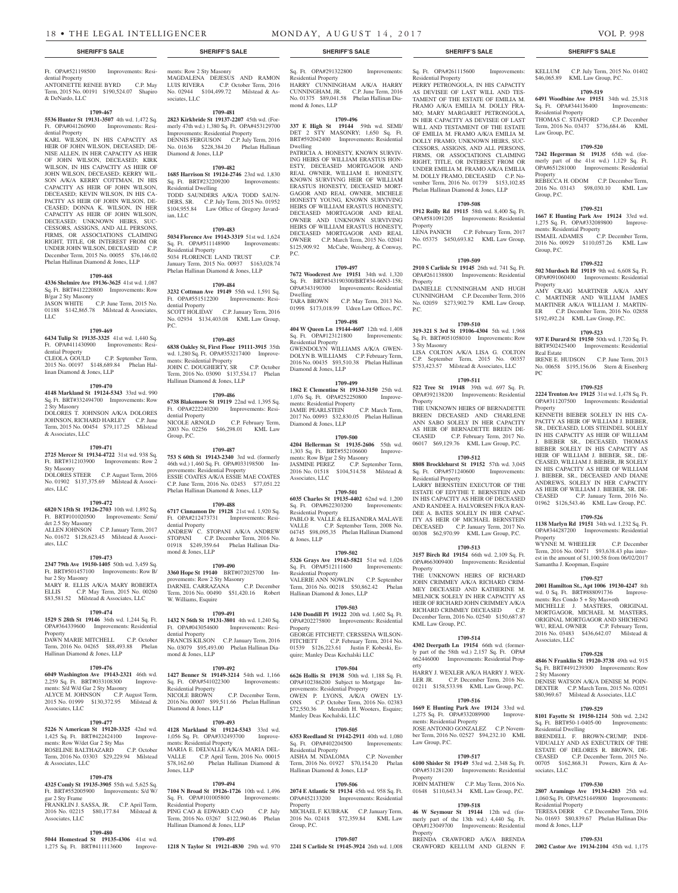Residential Property

mond & Jones, LLP

Dwelling

P.C.

Dwelling

Residential Property

Diamond & Jones, LLP

ments: Residential Property

ments: Row B/gar 2 Sty Masonry<br>JASMINE PEREZ C.P. Sep

Diamond & Jones, LLP

Associates, LLC

Residential Property

Residential Property

Hallinan Diamond & Jones, LLP

provements: Residential Property

Manley Deas Kochalski, LLC

 $S_{0}$  Ft. OPA#402204500 Residential Property

Hallinan Diamond & Jones, LLP

& Jones, LLP

Property

**Property** 

Group, P.C.

Sq. Ft. OPA#291322800 Improvements:

HARRY CUNNINGHAM A/K/A HARRY CUNNINGHAM, JR. C.P. June Term, 2016 No. 01375 \$89,041.58 Phelan Hallinan Dia-

**1709-496 337 E High St 19144** 59th wd. SEMI/ DET 2 STY MASONRY; 1,650 Sq. Ft. BRT#592042400 Improvements: Residential

PATRICIA A. HONESTY, KNOWN SURVIV-ING HEIRS OF WILLIAM ERASTUS HON-ESTY, DECEASED MORTGAGOR AND REAL OWNER, WILLIAM E. HONESTY KNOWN SURVIVNG HEIR OF WILLIAM ERASTUS HONESTY, DECEASED MORT-GAGOR AND REAL OWNER, MICHELE HONESTY YOUNG, KNOWN SURVIVING HEIRS OF WILLIAM ERASTUS HONESTY, DECEASED MORTGAGOR AND REAL OWNER AND UNKNOWN SURVIVING HEIRS OF WILLIAM ERASTUS HONESTY, DECEASED MORTGAGOR AND REAL OWNER C.P. March Term, 2015 No. 02041 \$125,909.92 McCabe, Weisberg, & Conway,

**1709-497 7672 Woodcrest Ave 19151** 34th wd. 1,320 Sq. Ft. BRT#343190300/BRT#34-66N3-158; OPA#343190300 Improvements: Residential

TARA BROWN C.P. May Term, 2013 No. 01998 \$173,018.99 Udren Law Offices, P.C. **1709-498 404 W Queen Ln 19144-4607** 12th wd. 1,408 Sq. Ft. OPA#123121800 Improvements:

GWENDOLYN WILLIAMS A/K/A GWEN-DOLYN B. WILLIAMS C.P. February Term, 2016 No. 00435 \$93,510.38 Phelan Hallinan

**1709-499 1862 E Clementine St 19134-3150** 25th wd. 1,076 Sq. Ft. OPA#252250800 Improve-

JAMIE PEARLSTEIN C.P. March Term, 2017 No. 00993 \$32,830.05 Phelan Hallinan

**1709-500 4204 Hellerman St 19135-2606** 55th wd. 1,303 Sq. Ft. BRT#552106600 Improve-

2016 No. 01518 \$104,514.58 Milstead &

**1709-501 6035 Charles St 19135-4402** 62nd wd. 1,200 Sq. Ft. OPA#622303200 Improvements:

PABLO R. VALLE & ELISANDRA MALAVE VALLE C.P. September Term, 2008 No. 04745 \$98,095,35 Phelan Hallinan Diamond

**1709-502 5326 Grays Ave 19143-5821** 51st wd. 1,026 Sq. Ft. OPA#512111600 Improvements:

VALERIE ANN NOWLIN C.P. September Term, 2016 No. 00218 \$50,862.42 Phelan

**1709-503 1430 Dondill Pl 19122** 20th wd. 1,602 Sq. Ft. OPA#202275800 Improvements: Residential

GEORGE FITCHETT; CERSSENA WILSON-FITCHETT C.P. February Term, 2014 No. 01539 \$126,223.61 Justin F. Kobeski, Esquire; Manley Deas Kochalski LLC

**1709-504 6626 Hollis St 19138** 50th wd. 1,188 Sq. Ft. OPA#102386200 Subject to Mortgage Im-

OWEN P. LYONS, A/K/A OWEN LY-<br>ONS C.P. October Term. 2016 No. 02383 C.P. October Term, 2016 No. 02383 \$72,550.36 Meredith H. Wooters, Esquire;

**1709-505 6353 Reedland St 19142-2911** 40th wd. 1,080

AISHA M. NDALOMA C.P. November Term, 2016 No. 01927 \$70,154.20 Phelan

**1709-506 2074 E Atlantic St 19134** 45th wd. 958 Sq. Ft. OPA#452133200 Improvements: Residential

MICHAEL F. KUBRAK C.P. January Term, 2016 No. 02418 \$72,359.84 KML Law

**1709-507**

C.P. September Term,

#### Ft. OPA#521198500 Improvements: Residential Property ANTOINETTE RENEE BYRD C.P. May

Term, 2015 No. 00191 \$190,524.07 Shapiro & DeNardo, LLC

#### **1709-467**

**5536 Hunter St 19131-3507** 4th wd. 1,472 Sq. Ft. OPA#041260900 Improvements: Residential Property

KARL WILSON, IN HIS CAPACITY AS HEIR OF JOHN WILSON, DECEASED; DE-NISE ALLEN, IN HER CAPACITY AS HEIR OF JOHN WILSON, DECEASED; KIRK WILSON, IN HIS CAPACITY AS HEIR OF JOHN WILSON, DECEASED; KERRY WIL-SON A/K/A KERRY COTTMAN, IN HIS CAPACITY AS HEIR OF JOHN WILSON, DECEASED; KEVIN WILSON, IN HIS CA-PACITY AS HEIR OF JOHN WILSON, DE-CEASED; DONNA K. WILSON, IN HER CAPACITY AS HEIR OF JOHN WILSON, DECEASED; UNKNOWN HEIRS, SUC-CESSORS, ASSIGNS, AND ALL PERSONS, FIRMS, OR ASSOCIATIONS CLAIMING RIGHT, TITLE, OR INTEREST FROM OR UNDER JOHN WILSON, DECEASED C.P. December Term, 2015 No. 00055 \$76,146.02 Phelan Hallinan Diamond & Jones, LLP

#### **1709-468**

**4336 Shelmire Ave 19136-3625** 41st wd. 1,087 Sq. Ft. BRT#412220800 Improvements: Row B/gar 2 Sty Masonry JASON WHITE C.P. June Term, 2015 No. 01188 \$142,865.78 Milstead & Associates, LLC

#### **1709-469**

**6434 Tulip St 19135-3325** 41st wd. 1,440 Sq. Ft. OPA#411430900 Improvements: Residential Property

CLEOLA GOULD C.P. September Term, 2015 No. 00197 \$148,689.84 Phelan Hallinan Diamond & Jones, LLP

#### **1709-470**

**4148 Markland St 19124-5343** 33rd wd. 990 Sq. Ft. BRT#332494700 Improvements: Row 2 Sty Masonry DOLORES T. JOHNSON A/K/A DOLORES **JOHNSON, RICHARD HARLEY C.P. June** Term, 2015 No. 00454 \$79,117.25 Milstead & Associates, LLC

#### **1709-471**

**2725 Mercer St 19134-4722** 31st wd. 938 Sq. Ft. BRT#312103900 Improvements: Row 2 Sty Masonry DOLORES STEER C.P. August Term, 2016 No. 01902 \$137,375.69 Milstead & Associ-

# **1709-472**

ates, LLC

**6820 N 15th St 19126-2703** 10th wd. 1,892 Sq. Ft. BRT#101020500 Improvements: Semi/ det 2.5 Sty Masonry ALLEN JOHNSON C.P. January Term, 2017 No. 01672 \$128,623.45 Milstead & Associates, LLC

# **1709-473**

**2347 79th Ave 19150-1405** 50th wd. 3,459 Sq. Ft. BRT#501457100 Improvements: Row B/ bar 2 Sty Masonry MARY R. ELLIS A/K/A MARY ROBERTA ELLIS C.P. May Term, 2015 No. 00260 \$83,581.52 Milstead & Associates, LLC

#### **1709-474**

**1529 S 28th St 19146** 36th wd. 1,244 Sq. Ft. OPA#364339600 Improvements: Residential

Property DAWN MARIE MITCHELL C.P. October Term, 2016 No. 04265 \$88,493.88 Phelan Hallinan Diamond & Jones, LLP

# **1709-476**

**6049 Washington Ave 19143-2321** 46th wd. 2,259 Sq. Ft. BRT#033108300 Improvements: S/d W/d Gar 2 Sty Masonry ALYCE M. JOHNSON C.P. August Term, 2015 No. 01999 \$130,372.95 Milstead &

# Associates, LLC

**1709-477 5226 N American St 19120-3325** 42nd wd. 1,425 Sq. Ft. BRT#422424100 Improveents: Row W/det Gar 2 Sty Mas<br>OSELINE BALTHAZARD C.P. October ROSELINE BALTHAZARD Term, 2016 No. 03303 \$29,229.94 Milstead & Associates, LLC

#### **1709-478**

**4325 Comly St 19135-3905** 55th wd. 5,625 Sq. Ft. BRT#552005900 Improvements: S/d W/

gar 2 Sty Frame FRANKLIN J. SASSA, JR. C.P. April Term, 2016 No. 02215 \$80,177.84 Milstead &

Associates, LLC

# **1709-480**

**5044 Homestead St 19135-4306** 41st wd. 1,275 Sq. Ft. BRT#411113600 Improve-

#### ments: Row 2 Sty Masonry MAGDALENA DEJESUS AND RAMON<br>LUIS RIVERA C.P. October Term, 2016 C.P. October Term, 2016 No. 02944 \$104,499.72 Milstead & Associates, LLC

**1709-481 2823 Kirkbride St 19137-2207** 45th wd. (Formerly 47th wd.) 1,380 Sq. Ft. OPA#453129700 Improvements: Residential Property DENNIS FERGUSON C.P. July Term, 2016

# No. 01636 \$228,384.20 Phelan Hallinan Diamond & Jones, LLP

**1709-482 1685 Harrison St 19124-2746** 23rd wd. 1,830 Sq. Ft. BRT#232209200 Improvements: Residential Dwelling TODD SAUNDERS A/K/A TODD SAUN-DERS, SR. C.P. July Term, 2015 No. 01952 \$104,955.84 Law Office of Gregory Javardian, LLC

#### **1709-483**

#### **5034 Florence Ave 19143-3319** 51st wd. 1,624 Sq. Ft. OPA#511148900 Improvements: Residential Property 5034 FLORENCE LAND TRUST C.P. January Term, 2015 No. 00937 \$163,028.74 Phelan Hallinan Diamond & Jones, LLP

**1709-484 3232 Cottman Ave 19149** 55th wd. 1,591 Sq. Ft. OPA#551512200 Improvements: Residential Property SCOTT HOLIDAY C.P. January Term, 2016 No. 02934 \$134,403.08 KML Law Group, P.C.

#### **1709-485**

**6838 Oakley St, First Floor 19111-3915** 35th wd. 1,280 Sq. Ft. OPA#353217400 Improvements: Residential Property JOHN C. DOUGHERTY, SR C.P. October Term, 2016 No. 03090 \$137,534.17 Phelan Hallinan Diamond & Jones, LLP

#### **1709-486**

**6738 Blakemore St 19119** 22nd wd. 1,395 Sq. Ft. OPA#222240200 Improvements: Residential Property NICOLE ARNOLD C.P. February Term, 2003 No. 02256 \$46,298.01 KML Law Group, P.C.

#### **1709-487**

**753 S 60th St 19143-2340** 3rd wd. (formerly 46th wd.) 1,460 Sq. Ft. OPA#033198500 Improvements: Residential Property ESSIE COATES A/K/A ESSIE MAE COATES C.P. June Term, 2016 No. 02453 \$77,051.22 Phelan Hallinan Diamond & Jones, LLP

#### **1709-488**

**6717 Cinnamon Dr 19128** 21st wd. 1,920 Sq. Ft. OPA#212473731 Improvements: Residential Property ANDREW C. STOPANI A/K/A ANDREW<br>STOPANI C.P. December Term, 2016 No. C.P. December Term, 2016 No. 01918 \$249,359.64 Phelan Hallinan Diamond & Jones, LLP

**1709-490**<br>**3360 Hope St 19140** BRT#072025700 Im-**3360 Hope St 19140** BRT#072025700 Improvements: Row 2 Sty Masonry DARNEL CARRAZANA C.P. December Term, 2016 No. 00490 \$51,420.16 Robert W. Williams, Esquire

#### **1709-491**

**1432 N 56th St 19131-3801** 4th wd. 1,240 Sq. Ft. OPA#043054600 Improvements: Residential Property FRANCIS KILSON C.P. January Term, 2016 No. 03079 \$95,493.00 Phelan Hallinan Diamond & Jones, LLP

## **1709-492**

**1427 Benner St 19149-3214** 54th wd. 1,166 Sq. Ft. OPA#541022300 Improvements: Residential Property NICOLE BROWN C.P. December Term, 2016 No. 00007 \$99,511.66 Phelan Hallinan Diamond & Jones, LLP

#### **1709-493**

**4128 Markland St 19124-5343** 33rd wd. 1,056 Sq. Ft. OPA#332493700 Improvements: Residential Property MARIA E. DELVALLE A/K/A MARIA DEL-VALLE C.P. April Term, 2016 No. 00015 \$78,162.60 Phelan Hallinan Diamond & Jones, LLP

#### **1709-494**

**7104 N Broad St 19126-1726** 10th wd. 1,496 Sq. Ft. OPA#101005800 Improvements: Residential Property PING CAO & EDWARD CAO C.P. July Term, 2016 No. 03267 \$122,960.46 Phelan Hallinan Diamond & Jones, LLP

#### **1709-495**

**1218 N Taylor St 19121-4830** 29th wd. 970 **2241 S Carlisle St 19145-3924** 26th wd. 1,008

Sq. Ft. OPA#261115600 Improvements: Residential Property PERRY PETRONGOLA, IN HIS CAPACITY

#### AS DEVISEE OF LAST WILL AND TES-TAMENT OF THE ESTATE OF EMILIA M. FRAMO A/K/A EMILIA M. DOLLY FRA-MO; MARY MARGARET PETRONGOLA, IN HER CAPACITY AS DEVISEE OF LAST WILL AND TESTAMENT OF THE ESTATE OF EMILIA M. FRAMO A/K/A EMILIA M. DOLLY FRAMO; UNKNOWN HEIRS, SUC-CESSORS, ASSIGNS, AND ALL PERSONS, FIRMS, OR ASSOCIATIONS CLAIMING RIGHT, TITLE, OR INTEREST FROM OR UNDER EMILIA M. FRAMO A/K/A EMILIA M. DOLLY FRAMO, DECEASED C.P. November Term, 2016 No. 01739 \$153,102.85 Phelan Hallinan Diamond & Jones, LLP

**1709-508**

**1912 Reilly Rd 19115** 58th wd. 8,400 Sq. Ft. OPA#581091205 Improvements: Residential Property LENA PANICH C.P. February Term, 2017 No. 05375 \$450,693.82 KML Law Group, P.C.

#### **1709-509 2910 S Carlisle St 19145** 26th wd. 741 Sq. Ft.

OPA#261138800 Improvements: Residential Property DANIELLE CUNNINGHAM AND HUGH CUNNINGHAM C.P. December Term, 2016 No. 02059 \$273,902.79 KML Law Group, P.C.

#### **1709-510**

**319-321 S 3rd St 19106-4304** 5th wd. 1,968 Sq. Ft. BRT#051058010 Improvements: Row 3 Sty Masonry LISA COLTON A/K/A LISA G. COLTON C.P. September Term, 2015 No. 00357 \$753,423.57 Milstead & Associates, LLC

#### **1709-511**

**522 Tree St 19148** 39th wd. 697 Sq. Ft. OPA#392138200 Improvements: Residential Property THE UNKNOWN HEIRS OF BERNADETTE BREEN DECEASED AND CHARLENE ANN SABO SOLELY IN HER CAPACITY AS HEIR OF BERNADETTE BREEN DE-CEASED C.P. February Term, 2017 No. 06017 \$69,129.76 KML Law Group, P.C.

#### **1709-512**

**8808 Brocklehurst St 19152** 57th wd. 3,045 Sq. Ft. OPA#571240600 Improvements: Residential Property

LARRY BERNSTEIN EXECUTOR OF THE ESTATE OF EDYTHE T. BERNSTEIN AND IN HIS CAPACITY AS HEIR OF DECEASED AND RANDEE A. HALVORSEN F/K/A RAN-DEE A. BATES SOLELY IN HER CAPAC-ITY AS HEIR OF MICHAEL BERNSTEIN DECEASED C.P. January Term, 2017 No. 00308 \$62,970.99 KML Law Group, P.C.

#### **1709-513**

**3157 Birch Rd 19154** 66th wd. 2,109 Sq. Ft. OPA#663009400 Improvements: Residential Property

THE UNKNOWN HEIRS OF RICHARD JOHN CRIMMEY A/K/A RICHARD CRIM-MEY DECEASED AND KATHERINE M. MELNICK SOLELY IN HER CAPACITY AS HEIR OF RICHARD JOHN CRIMMEY A/K/A RICHARD CRIMMEY DECEASED C.P. December Term, 2016 No. 02540 \$150,687.87 KML Law Group, P.C.

#### **1709-514**

**4302 Deerpath Ln 19154** 66th wd. (formerly part of the 58th wd.) 2,157 Sq. Ft. OPA# 662446000 Improvements: Residential Property

HARRY J. WEXLER A/K/A HARRY J. WEX-LER JR. C.P. December Term, 2016 No. 01211 \$158,533.98 KML Law Group, P.C.

# **1709-516**

**1669 E Hunting Park Ave 19124** 33rd wd. 1,275 Sq. Ft. OPA#332089900 Improvements: Residential Property JOSE ANTONIO GONZALEZ C.P. November Term, 2016 No. 02527 \$94,232.10 KML

Law Group,  $PC$ .

# **1709-517**

**6100 Shisler St 19149** 53rd wd. 2,348 Sq. Ft. OPA#531281200 Improvements: Residential Property JOHN MATHEW C.P. May Term, 2016 No.

01648 \$110,643.34 KML Law Group, P.C.

# **1709-518**

**46 W Seymour St 19144** 12th wd. (formerly part of the 13th wd.) 4,440 Sq. Ft. OPA#123049700 Improvements: Residential Property

BRENDA CRAWFORD A/K/A BRENDA CRAWFORD KELLUM AND GLENN F.

## **SHERIFF'S SALE SHERIFF'S SALE SHERIFF'S SALE SHERIFF'S SALE SHERIFF'S SALE**

KELLUM C.P. July Term, 2015 No. 01402 \$46,065.89 KML Law Group, P.C.

#### **1709-519**

**6491 Woodbine Ave 19151** 34th wd. 25,318 Sq. Ft. OPA#344136400 Improvements: Residential Property THOMAS C. STAFFORD C.P. December Term, 2016 No. 03437 \$736,684.46 KML Law Group, P.C.

#### **1709-520**

**7242 Hegerman St 19135** 65th wd. (formerly part of the 41st wd.) 1,129 Sq. Ft. OPA#651281000 Improvements: Residential Property

REBECCA H. ODOM C.P. December Term, 2016 No. 03143 \$98,030.10 KML Law Group, P.C.

#### **1709-521**

**1667 E Hunting Park Ave 19124** 33rd wd. 1,275 Sq. Ft. OPA#332089800 Improvements: Residential Property ISMAEL ADAMES C.P. December Term,

2016 No. 00929 \$110,057.26 KML Law Group, P.C.

**1709-522 502 Murdoch Rd 19119** 9th wd. 6,608 Sq. Ft. OPA#091060400 Improvements: Residential

AMY CRAIG MARTINER A/K/A AMY C. MARTINER AND WILLIAM JAMES MARTINER A/K/A WILLIAM J. MARTIN-ER C.P. December Term, 2016 No. 02858 \$192,492.24 KML Law Group, P.C.

**1709-523 937 E Durard St 19150** 50th wd. 1,720 Sq. Ft. BRT#502425400 Improvements: Residential

IRENE E. HUDSON C.P. June Term, 2013 No. 00658 \$195,156.06 Stern & Eisenberg

**1709-525 2224 Trenton Ave 19125** 31st wd. 1,478 Sq. Ft. OPA#311207500 Improvements: Residential

KENNETH BIEBER SOLELY IN HIS CA-PACITY AS HEIR OF WILLIAM J. BIEBER, SR., DECEASED, LOIS STEINDEL SOLELY IN HIS CAPACITY AS HEIR OF WILLIAM J. BIEBER SR., DECEASED, THOMAS BIEBER SOLELY IN HIS CAPACITY AS HEIR OF WILLIAM J. BIEBER, SR., DE-CEASED, WILLIAM J. BIEBER, JR SOLELY IN HIS CAPACITY AS HEIR OF WILLIAM J. BIEBER, SR., DECEASED AND DIANE ANDREWS, SOLELY IN HER CAPACITY AS HEIR OF WILLIAM J. BIEBER, SR. DE-CEASED C.P. January Term, 2016 No. 01962 \$126,543.46 KML Law Group, P.C. **1709-526 1138 Marlyn Rd 19151** 34th wd. 1,232 Sq. Ft. OPA#344287200 Improvements: Residential

WYNNE M. WHEELER C.P. December Term, 2016 No. 00471 \$93,638.43 plus interest in the amount of \$1,100.58 from 06/02/2017

**1709-527 2001 Hamilton St., Apt 1006 19130-4247** 8th wd. 0 Sq. Ft. BRT#888091736 Improvements: Res Condo 5 + Sty Mas+oth MICHELLE J. MASTERS, ORIGINAL MORTGAGOR, MICHAEL M. MASTERS, ORIGINAL MORTGAGOR AND SHICHENG WU, REAL OWNER C.P. February Term, 2016 No. 03483 \$436,642.07 Milstead &

**1709-528 4846 N Franklin St 19120-3738** 49th wd. 915 Sq. Ft. BRT#491239300 Improvements: Row

DENISE WATSON A/K/A DENISE M. POIN-DEXTER C.P. March Term, 2015 No. 02051 \$80,969.67 Milstead & Associates, LLC **1709-529 8101 Fayette St 19150-1214** 50th wd. 2,242 Sq. Ft. BRT#50-1-0405-00 Improvements:

BRENDELL F. BROWN-CRUMP, INDI-VIDUALLY AND AS EXECUTRIX OF THE ESTATE OF DELORES R. BROWN, DE-CEASED C.P. December Term, 2015 No. 00705 \$162,868.31 Powers, Kirn & As-

**1709-530 2807 Aramingo Ave 19134-4203** 25th wd. 1,060 Sq. Ft. OPA#251449800 Improvements:

TERESA DERR C.P. December Term, 2016 No. 01693 \$80,839.67 Phelan Hallinan Dia-

**1709-531 2002 Castor Ave 19134-2104** 45th wd. 1,175

Samantha J. Koopman, Esquire

Property

Real Estate

PC

Property

Property

Associates, LLC

2 Sty Masonry

Residential Dwelling

sociates, LLC

Residential Property

mond & Jones, LLP